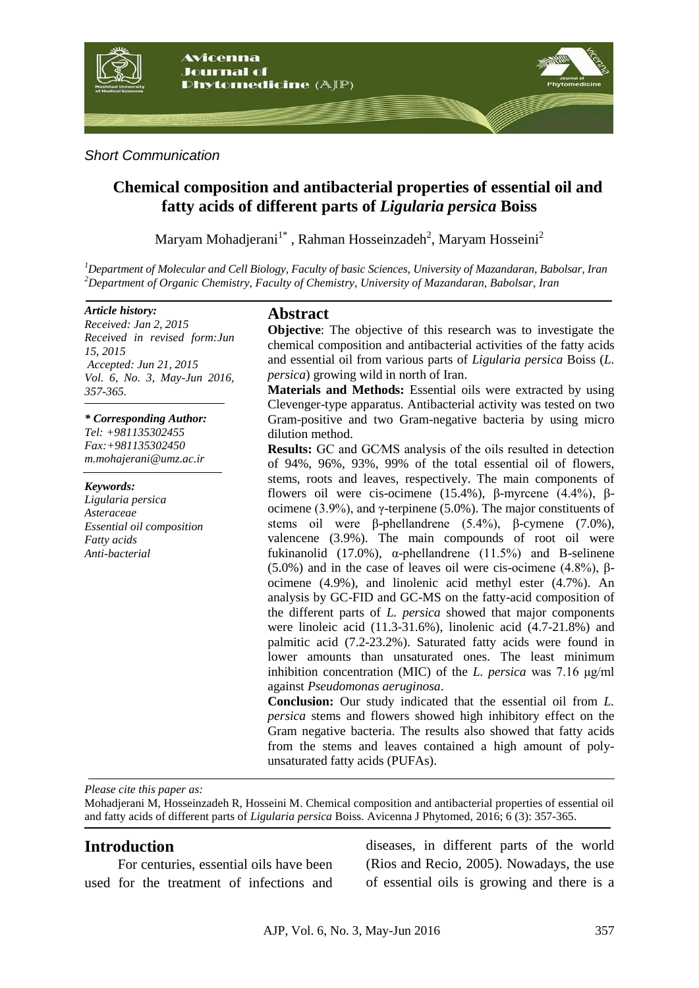

#### *Short Communication*

# **Chemical composition and antibacterial properties of essential oil and fatty acids of different parts of** *Ligularia persica* **Boiss**

Maryam Mohadjerani $1^*$ , Rahman Hosseinzadeh<sup>2</sup>, Maryam Hosseini<sup>2</sup>

*<sup>1</sup>Department of Molecular and Cell Biology, Faculty of basic Sciences, University of Mazandaran, Babolsar, Iran <sup>2</sup>Department of Organic Chemistry, Faculty of Chemistry, University of Mazandaran, Babolsar, Iran*

#### *Article history:*

*Received: Jan 2, 2015 Received in revised form:Jun 15, 2015 Accepted: Jun 21, 2015 Vol. 6, No. 3, May-Jun 2016, 357-365.*

#### *\* Corresponding Author:*

*Tel: +981135302455 Fax:+981135302450 m.mohajerani@umz.ac.ir*

#### *Keywords:*

*Ligularia persica Asteraceae Essential oil composition Fatty acids Anti-bacterial* 

#### **Abstract**

**Objective**: The objective of this research was to investigate the chemical composition and antibacterial activities of the fatty acids and essential oil from various parts of *Ligularia persica* Boiss (*L. persica*) growing wild in north of Iran.

**Materials and Methods:** Essential oils were extracted by using Clevenger-type apparatus. Antibacterial activity was tested on two Gram-positive and two Gram-negative bacteria by using micro dilution method.

**Results:** GC and GC∕MS analysis of the oils resulted in detection of 94%, 96%, 93%, 99% of the total essential oil of flowers, stems, roots and leaves, respectively. The main components of flowers oil were cis-ocimene (15.4%), β-myrcene (4.4%), βocimene (3.9%), and γ-terpinene (5.0%). The major constituents of stems oil were β-phellandrene (5.4%), β-cymene (7.0%), valencene (3.9%). The main compounds of root oil were fukinanolid (17.0%),  $\alpha$ -phellandrene (11.5%) and B-selinene (5.0%) and in the case of leaves oil were cis-ocimene (4.8%), βocimene (4.9%), and linolenic acid methyl ester (4.7%). An analysis by GC-FID and GC-MS on the fatty-acid composition of the different parts of *L. persica* showed that major components were linoleic acid (11.3-31.6%), linolenic acid (4.7-21.8%) and palmitic acid (7.2-23.2%). Saturated fatty acids were found in lower amounts than unsaturated ones. The least minimum inhibition concentration (MIC) of the *L. persica* was 7.16 μg/ml against *Pseudomonas aeruginosa*.

**Conclusion:** Our study indicated that the essential oil from *L. persica* stems and flowers showed high inhibitory effect on the Gram negative bacteria. The results also showed that fatty acids from the stems and leaves contained a high amount of polyunsaturated fatty acids (PUFAs).

*Please cite this paper as:* 

Mohadjerani M, Hosseinzadeh R, Hosseini M. Chemical composition and antibacterial properties of essential oil and fatty acids of different parts of *Ligularia persica* Boiss. Avicenna J Phytomed, 2016; 6 (3): 357-365.

## **Introduction**

For centuries, essential oils have been used for the treatment of infections and diseases, in different parts of the world (Rios and Recio, 2005). Nowadays, the use of essential oils is growing and there is a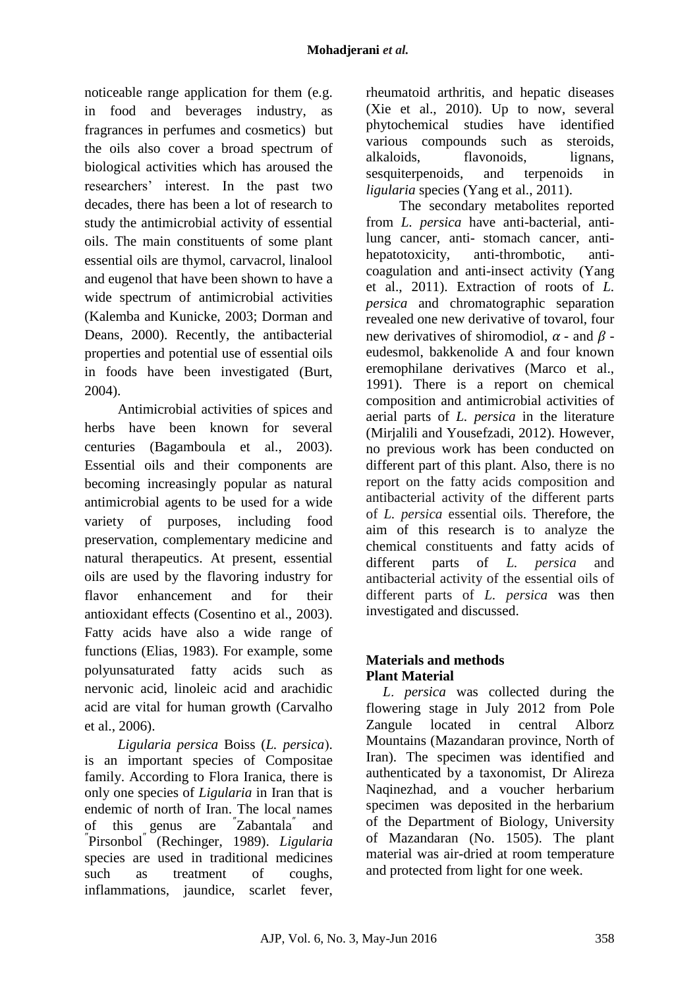noticeable range application for them (e.g. in food and beverages industry, as fragrances in perfumes and cosmetics) but the oils also cover a broad spectrum of biological activities which has aroused the researchers' interest. In the past two decades, there has been a lot of research to study the antimicrobial activity of essential oils. The main constituents of some plant essential oils are thymol, carvacrol, linalool and eugenol that have been shown to have a wide spectrum of antimicrobial activities (Kalemba and Kunicke, 2003; Dorman and Deans, 2000). Recently, the antibacterial properties and potential use of essential oils in foods have been investigated (Burt, 2004).

Antimicrobial activities of spices and herbs have been known for several centuries (Bagamboula et al., 2003). Essential oils and their components are becoming increasingly popular as natural antimicrobial agents to be used for a wide variety of purposes, including food preservation, complementary medicine and natural therapeutics. At present, essential oils are used by the flavoring industry for flavor enhancement and for their antioxidant effects (Cosentino et al., 2003). Fatty acids have also a wide range of functions (Elias, 1983). For example, some polyunsaturated fatty acids such as nervonic acid, linoleic acid and arachidic acid are vital for human growth (Carvalho et al., 2006).

*Ligularia persica Boiss (L. persica).* is an important species of Compositae family. According to Flora Iranica, there is only one species of *Ligularia* in Iran that is endemic of north of Iran. The local names of this genus are Zabantala″ and ″ Pirsonbol″ (Rechinger, 1989). *Ligularia* species are used in traditional medicines such as treatment of coughs, inflammations, jaundice, scarlet fever, rheumatoid arthritis, and hepatic diseases (Xie et al., 2010). Up to now, several phytochemical studies have identified various compounds such as steroids, alkaloids, flavonoids, lignans, sesquiterpenoids, and terpenoids in *ligularia* species (Yang et al., 2011).

The secondary metabolites reported from *L. persica* have anti-bacterial, antilung cancer, anti- stomach cancer, antihepatotoxicity, anti-thrombotic, anticoagulation and anti-insect activity (Yang et al., 2011). Extraction of roots of *L. persica* and chromatographic separation revealed one new derivative of tovarol, four new derivatives of shiromodiol,  $\alpha$  - and  $\beta$  eudesmol, bakkenolide A and four known eremophilane derivatives (Marco et al., 1991). There is a report on chemical composition and antimicrobial activities of aerial parts of *L. persica* in the literature (Mirjalili and Yousefzadi, 2012). However, no previous work has been conducted on different part of this plant. Also, there is no report on the fatty acids composition and antibacterial activity of the different parts of *L. persica* essential oils. Therefore, the aim of this research is to analyze the chemical constituents and fatty acids of different parts of *L. persica* and antibacterial activity of the essential oils of different parts of *L. persica* was then investigated and discussed.

# **Materials and methods Plant Material**

*L*. *persica* was collected during the flowering stage in July 2012 from Pole Zangule located in central Alborz Mountains (Mazandaran province, North of Iran). The specimen was identified and authenticated by a taxonomist, Dr Alireza Naqinezhad, and a voucher herbarium specimen was deposited in the herbarium of the Department of Biology, University of Mazandaran (No. 1505). The plant material was air-dried at room temperature and protected from light for one week.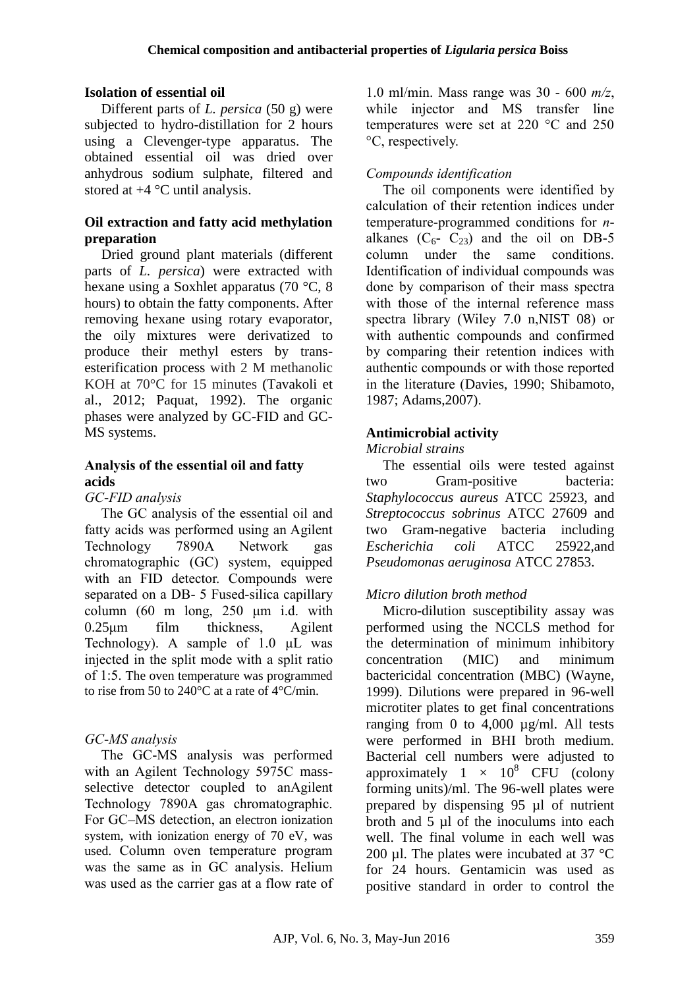## **Isolation of essential oil**

Different parts of *L. persica* (50 g) were subjected to hydro-distillation for 2 hours using a Clevenger-type apparatus. The obtained essential oil was dried over anhydrous sodium sulphate, filtered and stored at +4 °C until analysis.

## **Oil extraction and fatty acid methylation preparation**

Dried ground plant materials (different parts of *L. persica*) were extracted with hexane using a Soxhlet apparatus (70 °C, 8 hours) to obtain the fatty components. After removing hexane using rotary evaporator, the oily mixtures were derivatized to produce their methyl esters by transesterification process with 2 M methanolic KOH at 70°C for 15 minutes (Tavakoli et al., 2012; Paquat, 1992). The organic phases were analyzed by GC-FID and GC-MS systems.

## **Analysis of the essential oil and fatty acids**

#### *GC-FID analysis*

The GC analysis of the essential oil and fatty acids was performed using an Agilent Technology 7890A Network gas chromatographic (GC) system, equipped with an FID detector. Compounds were separated on a DB- 5 Fused-silica capillary column (60 m long, 250 μm i.d. with 0.25μm film thickness, Agilent Technology). A sample of 1.0 μL was injected in the split mode with a split ratio of 1:5. The oven temperature was programmed to rise from 50 to 240 $\degree$ C at a rate of 4 $\degree$ C/min.

## *GC-MS analysis*

The GC-MS analysis was performed with an Agilent Technology 5975C massselective detector coupled to anAgilent Technology 7890A gas chromatographic. For GC–MS detection, an electron ionization system, with ionization energy of 70 eV, was used. Column oven temperature program was the same as in GC analysis. Helium was used as the carrier gas at a flow rate of

1.0 ml/min. Mass range was 30 - 600 *m/z*, while injector and MS transfer line temperatures were set at 220 °C and 250 °C, respectively.

# *Compounds identification*

The oil components were identified by calculation of their retention indices under temperature-programmed conditions for *n*alkanes  $(C_6 - C_{23})$  and the oil on DB-5 column under the same conditions. Identification of individual compounds was done by comparison of their mass spectra with those of the internal reference mass spectra library (Wiley 7.0 n,NIST 08) or with authentic compounds and confirmed by comparing their retention indices with authentic compounds or with those reported in the literature (Davies, 1990; Shibamoto, 1987; Adams,2007).

# **Antimicrobial activity**

## *Microbial strains*

The essential oils were tested against two Gram-positive bacteria: *Staphylococcus aureus* ATCC 25923, and *Streptococcus sobrinus* ATCC 27609 and two Gram-negative bacteria including *Escherichia coli* ATCC 25922*,*and *Pseudomonas aeruginosa* ATCC 27853.

# *Micro dilution broth method*

Micro-dilution susceptibility assay was performed using the NCCLS method for the determination of minimum inhibitory concentration (MIC) and minimum bactericidal concentration (MBC) (Wayne, 1999). Dilutions were prepared in 96-well microtiter plates to get final concentrations ranging from 0 to 4,000  $\mu$ g/ml. All tests were performed in BHI broth medium. Bacterial cell numbers were adjusted to approximately  $1 \times 10^8$  CFU (colony forming units)/ml. The 96-well plates were prepared by dispensing 95 µl of nutrient broth and 5 µl of the inoculums into each well. The final volume in each well was 200 µl. The plates were incubated at  $37 \text{ °C}$ for 24 hours. Gentamicin was used as positive standard in order to control the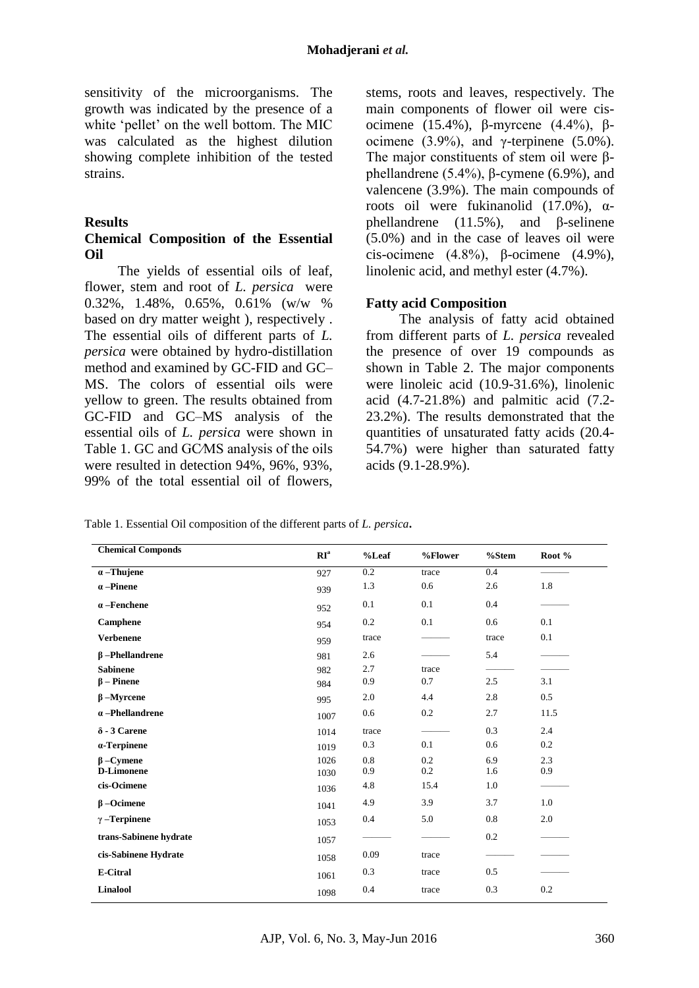sensitivity of the microorganisms. The growth was indicated by the presence of a white 'pellet' on the well bottom. The MIC was calculated as the highest dilution showing complete inhibition of the tested strains.

#### **Results**

#### **Chemical Composition of the Essential Oil**

The yields of essential oils of leaf, flower, stem and root of *L. persica* were 0.32%, 1.48%, 0.65%, 0.61% (w/w % based on dry matter weight ), respectively . The essential oils of different parts of *L. persica* were obtained by hydro-distillation method and examined by GC-FID and GC– MS. The colors of essential oils were yellow to green. The results obtained from GC-FID and GC–MS analysis of the essential oils of *L. persica* were shown in Table 1. GC and GC/MS analysis of the oils were resulted in detection 94%, 96%, 93%, 99% of the total essential oil of flowers, stems, roots and leaves, respectively. The main components of flower oil were cisocimene (15.4%), β-myrcene (4.4%), βocimene (3.9%), and γ-terpinene (5.0%). The major constituents of stem oil were βphellandrene (5.4%), β-cymene (6.9%), and valencene (3.9%). The main compounds of roots oil were fukinanolid  $(17.0\%)$ , αphellandrene  $(11.5\%)$ , and β-selinene (5.0%) and in the case of leaves oil were cis-ocimene  $(4.8\%)$ , β-ocimene  $(4.9\%)$ , linolenic acid, and methyl ester (4.7%).

#### **Fatty acid Composition**

The analysis of fatty acid obtained from different parts of *L. persica* revealed the presence of over 19 compounds as shown in Table 2. The major components were linoleic acid (10.9-31.6%), linolenic acid (4.7-21.8%) and palmitic acid (7.2- 23.2%). The results demonstrated that the quantities of unsaturated fatty acids (20.4- 54.7%) were higher than saturated fatty acids (9.1-28.9%).

Table 1. Essential Oil composition of the different parts of *L. persica***.**

| <b>Chemical Componds</b> | RI <sup>a</sup> | $%$ Leaf | %Flower | $%$ Stem | Root % |
|--------------------------|-----------------|----------|---------|----------|--------|
| $\alpha$ -Thujene        | 927             | 0.2      | trace   | 0.4      |        |
| $\alpha$ -Pinene         | 939             | 1.3      | 0.6     | 2.6      | 1.8    |
| $\alpha$ -Fenchene       | 952             | 0.1      | 0.1     | 0.4      |        |
| Camphene                 | 954             | 0.2      | 0.1     | 0.6      | 0.1    |
| <b>Verbenene</b>         | 959             | trace    |         | trace    | 0.1    |
| $\beta$ -Phellandrene    | 981             | 2.6      |         | 5.4      |        |
| <b>Sabinene</b>          | 982             | 2.7      | trace   |          |        |
| $\beta$ – Pinene         | 984             | 0.9      | 0.7     | 2.5      | 3.1    |
| $\beta$ -Myrcene         | 995             | 2.0      | 4.4     | 2.8      | 0.5    |
| $\alpha$ -Phellandrene   | 1007            | 0.6      | 0.2     | 2.7      | 11.5   |
| $\delta$ - 3 Carene      | 1014            | trace    |         | 0.3      | 2.4    |
| $\alpha$ -Terpinene      | 1019            | 0.3      | 0.1     | 0.6      | 0.2    |
| $\beta$ – Cymene         | 1026            | 0.8      | 0.2     | 6.9      | 2.3    |
| <b>D-Limonene</b>        | 1030            | 0.9      | 0.2     | 1.6      | 0.9    |
| cis-Ocimene              | 1036            | 4.8      | 15.4    | 1.0      |        |
| $\beta$ –Ocimene         | 1041            | 4.9      | 3.9     | 3.7      | 1.0    |
| $\gamma$ -Terpinene      | 1053            | 0.4      | 5.0     | 0.8      | 2.0    |
| trans-Sabinene hydrate   | 1057            |          |         | 0.2      |        |
| cis-Sabinene Hydrate     | 1058            | 0.09     | trace   |          |        |
| <b>E-Citral</b>          | 1061            | 0.3      | trace   | 0.5      |        |
| <b>Linalool</b>          | 1098            | 0.4      | trace   | 0.3      | 0.2    |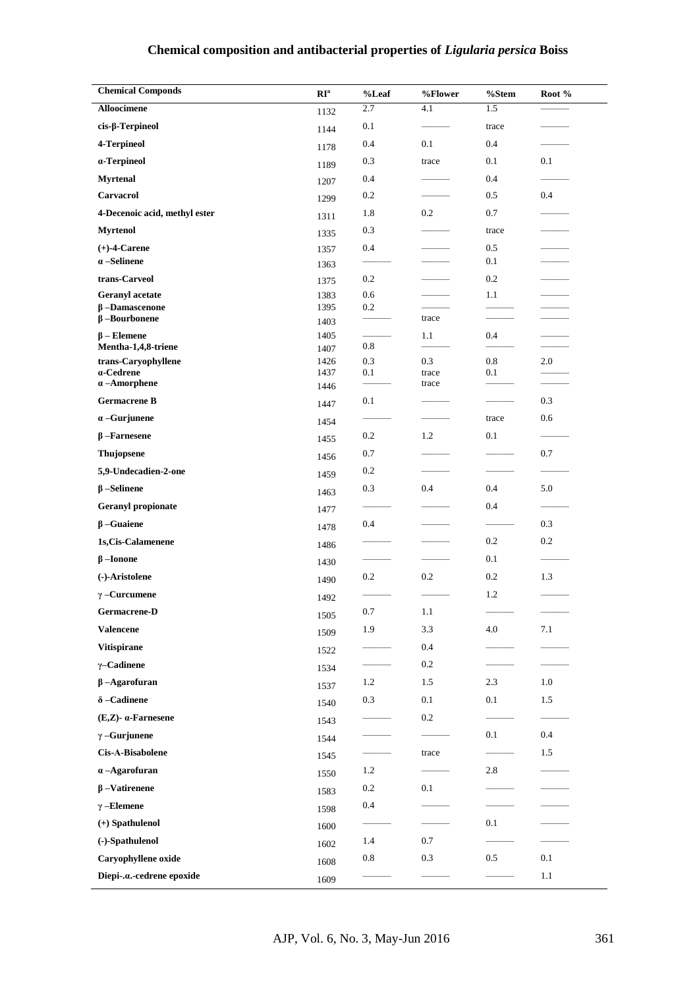# **Chemical composition and antibacterial properties of** *Ligularia persica* **Boiss**

| <b>Chemical Componds</b>                    | $\mathbf{RI}^{\rm a}$ | %Leaf      | %Flower        | %Stem      | Root % |
|---------------------------------------------|-----------------------|------------|----------------|------------|--------|
| <b>Alloocimene</b>                          | 1132                  | 2.7        | 4.1            | 1.5        |        |
| $cis$ - $\beta$ -Terpineol                  | 1144                  | 0.1        |                | trace      |        |
| 4-Terpineol                                 | 1178                  | 0.4        | 0.1            | 0.4        |        |
| a-Terpineol                                 | 1189                  | 0.3        | trace          | 0.1        | 0.1    |
| <b>Myrtenal</b>                             | 1207                  | 0.4        |                | 0.4        |        |
| Carvacrol                                   | 1299                  | 0.2        |                | 0.5        | 0.4    |
| 4-Decenoic acid, methyl ester               | 1311                  | 1.8        | 0.2            | 0.7        |        |
| <b>Myrtenol</b>                             | 1335                  | 0.3        |                | trace      |        |
| $(+)$ -4-Carene                             | 1357                  | 0.4        |                | $0.5\,$    |        |
| $\alpha$ -Selinene                          | 1363                  |            |                | 0.1        |        |
| trans-Carveol                               | 1375                  | 0.2        |                | 0.2        |        |
| <b>Geranyl</b> acetate                      | 1383                  | 0.6        |                | 1.1        |        |
| $\beta$ -Damascenone<br>$\beta$ -Bourbonene | 1395<br>1403          | 0.2        | trace          |            |        |
| $\beta$ – Elemene                           | 1405                  |            | 1.1            | 0.4        |        |
| Mentha-1,4,8-triene                         | 1407                  | 0.8        |                |            |        |
| trans-Caryophyllene<br>a-Cedrene            | 1426<br>1437          | 0.3<br>0.1 | 0.3            | 0.8<br>0.1 | 2.0    |
| $\alpha$ -Amorphene                         | 1446                  |            | trace<br>trace |            |        |
| <b>Germacrene B</b>                         | 1447                  | 0.1        |                |            | 0.3    |
| $\alpha$ -Gurjunene                         | 1454                  |            |                | trace      | 0.6    |
| $\beta$ -Farnesene                          | 1455                  | 0.2        | 1.2            | 0.1        |        |
| Thujopsene                                  | 1456                  | 0.7        |                |            | 0.7    |
| 5,9-Undecadien-2-one                        | 1459                  | 0.2        |                |            |        |
| $\beta$ -Selinene                           | 1463                  | 0.3        | 0.4            | 0.4        | 5.0    |
| Geranyl propionate                          | 1477                  |            |                | 0.4        |        |
| $\beta$ -Guaiene                            | 1478                  | 0.4        |                |            | 0.3    |
| 1s, Cis-Calamenene                          | 1486                  |            |                | 0.2        | 0.2    |
| $\beta$ -Ionone                             |                       |            |                | 0.1        |        |
| (-)-Aristolene                              | 1430                  | 0.2        | 0.2            | 0.2        | 1.3    |
| $\gamma$ -Curcumene                         | 1490                  |            |                | 1.2        |        |
| Germacrene-D                                | 1492                  | 0.7        | 1.1            |            |        |
| <b>Valencene</b>                            | 1505                  | 1.9        | 3.3            | 4.0        | 7.1    |
| Vitispirane                                 | 1509                  |            | 0.4            |            |        |
| $\gamma$ -Cadinene                          | 1522                  |            | 0.2            |            |        |
| $\beta$ -Agarofuran                         | 1534                  | 1.2        | 1.5            | 2.3        | 1.0    |
| $\delta$ -Cadinene                          | 1537                  | 0.3        | 0.1            | 0.1        | 1.5    |
| $(E,Z)$ - $\alpha$ -Farnesene               | 1540                  |            | 0.2            |            |        |
|                                             | 1543                  |            |                | 0.1        | 0.4    |
| $\gamma$ -Gurjunene                         | 1544                  |            |                |            |        |
| Cis-A-Bisabolene                            | 1545                  |            | trace          |            | 1.5    |
| $\alpha$ -Agarofuran                        | 1550                  | 1.2        |                | 2.8        |        |
| $\beta$ -Vatirenene                         | 1583                  | 0.2        | 0.1            |            |        |
| $\gamma$ -Elemene                           | 1598                  | 0.4        |                |            |        |
| $(+)$ Spathulenol                           | 1600                  |            |                | 0.1        |        |
| (-)-Spathulenol                             | 1602                  | 1.4        | 0.7            |            |        |
| Caryophyllene oxide                         | 1608                  | $0.8\,$    | 0.3            | 0.5        | 0.1    |
| Diepi-.a.-cedrene epoxide                   | 1609                  |            |                |            | 1.1    |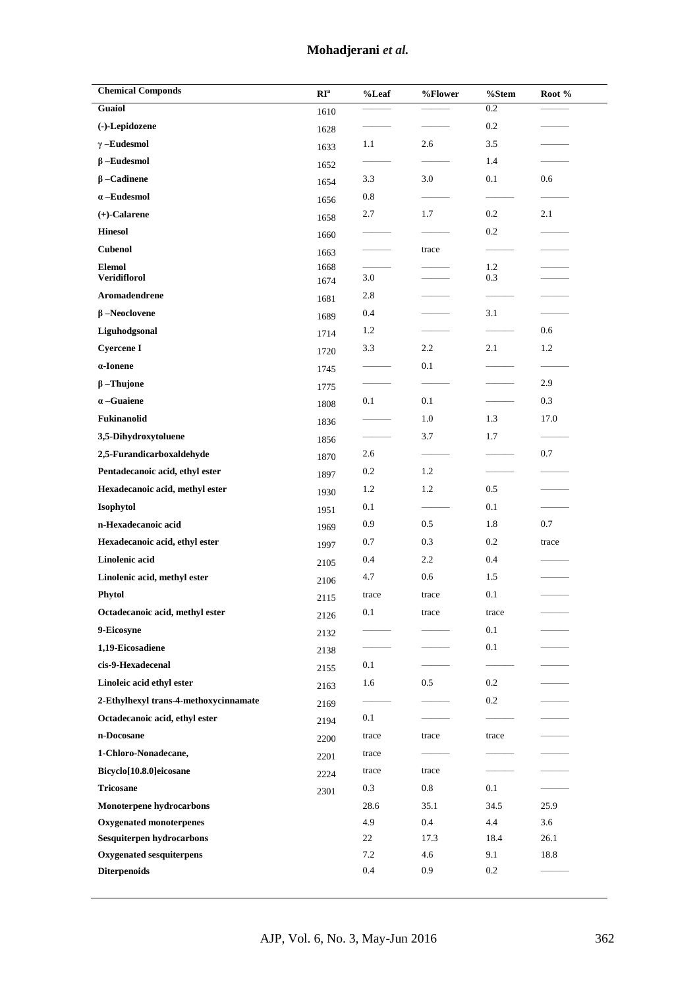# **Mohadjerani** *et al.*

| <b>Chemical Componds</b>              | $\mathbf{RI}^{\rm a}$ | %Leaf   | %Flower | %Stem   | Root % |
|---------------------------------------|-----------------------|---------|---------|---------|--------|
| <b>Guaiol</b>                         | 1610                  |         |         | 0.2     |        |
| (-)-Lepidozene                        | 1628                  |         |         | 0.2     |        |
| $\gamma$ -Eudesmol                    | 1633                  | 1.1     | 2.6     | 3.5     |        |
| $\beta$ -Eudesmol                     | 1652                  |         |         | 1.4     |        |
| $\beta$ –Cadinene                     | 1654                  | 3.3     | 3.0     | 0.1     | 0.6    |
| $\alpha$ -Eudesmol                    | 1656                  | 0.8     |         |         |        |
| $(+)$ -Calarene                       | 1658                  | 2.7     | 1.7     | 0.2     | 2.1    |
| <b>Hinesol</b>                        | 1660                  |         |         | 0.2     |        |
| <b>Cubenol</b>                        | 1663                  |         | trace   |         |        |
| <b>Elemol</b>                         | 1668                  |         |         | 1.2     |        |
| <b>Veridiflorol</b>                   | 1674                  | 3.0     |         | 0.3     |        |
| Aromadendrene                         | 1681                  | 2.8     |         |         |        |
| $\beta$ -Neoclovene                   | 1689                  | 0.4     |         | 3.1     |        |
| Liguhodgsonal                         | 1714                  | 1.2     |         |         | 0.6    |
| <b>Cyercene I</b>                     | 1720                  | 3.3     | 2.2     | 2.1     | 1.2    |
| $\alpha$ -Ionene                      | 1745                  |         | 0.1     |         |        |
| $\beta$ -Thujone                      | 1775                  |         |         |         | 2.9    |
| $\alpha$ -Guaiene                     | 1808                  | 0.1     | 0.1     |         | 0.3    |
| Fukinanolid                           | 1836                  |         | 1.0     | 1.3     | 17.0   |
| 3,5-Dihydroxytoluene                  | 1856                  |         | 3.7     | 1.7     |        |
| 2,5-Furandicarboxaldehyde             | 1870                  | 2.6     |         |         | 0.7    |
| Pentadecanoic acid, ethyl ester       | 1897                  | 0.2     | 1.2     |         |        |
| Hexadecanoic acid, methyl ester       | 1930                  | 1.2     | 1.2     | 0.5     |        |
| Isophytol                             | 1951                  | 0.1     |         | 0.1     |        |
| n-Hexadecanoic acid                   | 1969                  | 0.9     | 0.5     | 1.8     | 0.7    |
| Hexadecanoic acid, ethyl ester        | 1997                  | 0.7     | 0.3     | 0.2     | trace  |
| Linolenic acid                        | 2105                  | 0.4     | 2.2     | 0.4     |        |
| Linolenic acid, methyl ester          | 2106                  | 4.7     | 0.6     | 1.5     |        |
| Phytol                                | 2115                  | trace   | trace   | 0.1     |        |
| Octadecanoic acid, methyl ester       | 2126                  | 0.1     | trace   | trace   |        |
| 9-Eicosyne                            | 2132                  |         |         | 0.1     |        |
| 1,19-Eicosadiene                      | 2138                  |         |         | $0.1\,$ |        |
| cis-9-Hexadecenal                     | 2155                  | $0.1\,$ |         |         |        |
| Linoleic acid ethyl ester             | 2163                  | 1.6     | 0.5     | 0.2     |        |
| 2-Ethylhexyl trans-4-methoxycinnamate | 2169                  |         |         | 0.2     |        |
| Octadecanoic acid, ethyl ester        | 2194                  | 0.1     |         |         |        |
| n-Docosane                            | 2200                  | trace   | trace   | trace   |        |
| 1-Chloro-Nonadecane,                  | 2201                  | trace   |         |         |        |
| Bicyclo[10.8.0]eicosane               | 2224                  | trace   | trace   |         |        |
| <b>Tricosane</b>                      | 2301                  | 0.3     | 0.8     | 0.1     |        |
| Monoterpene hydrocarbons              |                       | 28.6    | 35.1    | 34.5    | 25.9   |
| <b>Oxygenated monoterpenes</b>        |                       | 4.9     | 0.4     | 4.4     | 3.6    |
| Sesquiterpen hydrocarbons             |                       | 22      | 17.3    | 18.4    | 26.1   |
| Oxygenated sesquiterpens              |                       | 7.2     | 4.6     | 9.1     | 18.8   |
| <b>Diterpenoids</b>                   |                       | 0.4     | 0.9     | 0.2     |        |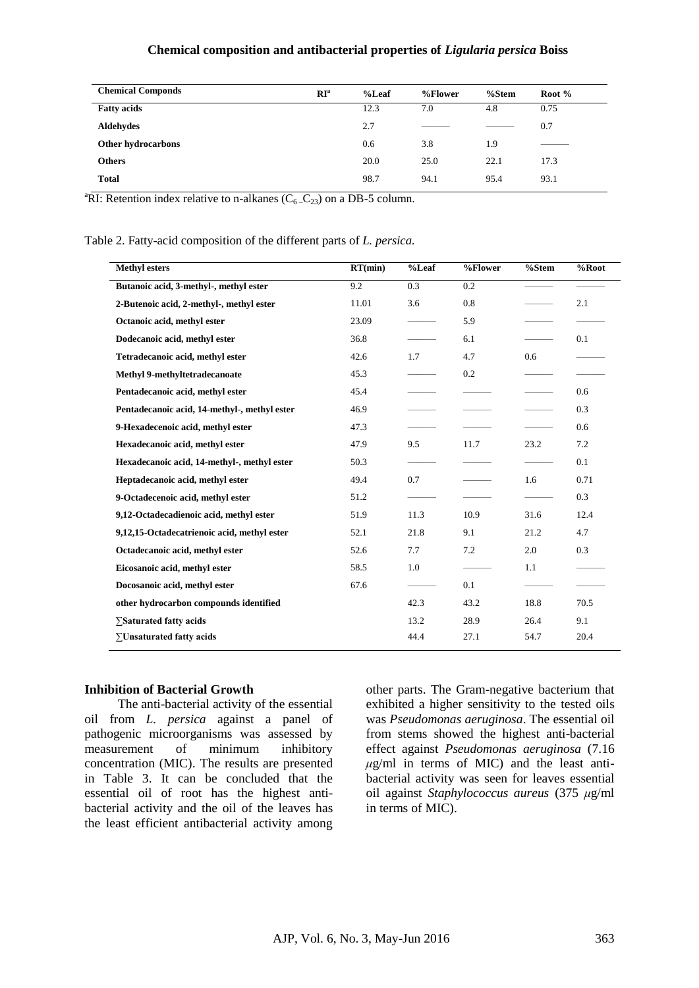#### **Chemical composition and antibacterial properties of** *Ligularia persica* **Boiss**

| <b>Chemical Componds</b> | RI <sup>a</sup> | $%$ Leaf | %Flower | %Stem | Root % |
|--------------------------|-----------------|----------|---------|-------|--------|
| <b>Fatty acids</b>       |                 | 12.3     | 7.0     | 4.8   | 0.75   |
| <b>Aldehydes</b>         |                 | 2.7      |         |       | 0.7    |
| Other hydrocarbons       |                 | 0.6      | 3.8     | 1.9   |        |
| <b>Others</b>            |                 | 20.0     | 25.0    | 22.1  | 17.3   |
| <b>Total</b>             |                 | 98.7     | 94.1    | 95.4  | 93.1   |

<sup>a</sup>RI: Retention index relative to n-alkanes ( $C_6$ <sub>-C<sub>23</sub>) on a DB-5 column.</sub>

Table 2. Fatty-acid composition of the different parts of *L. persica.*

| <b>Methyl esters</b>                         | RT(min) | $%$ Leaf | %Flower | %Stem | $\overline{\frac{9}{6}}$ Root |
|----------------------------------------------|---------|----------|---------|-------|-------------------------------|
| Butanoic acid, 3-methyl-, methyl ester       | 9.2     | 0.3      | 0.2     |       |                               |
| 2-Butenoic acid, 2-methyl-, methyl ester     | 11.01   | 3.6      | 0.8     |       | 2.1                           |
| Octanoic acid, methyl ester                  | 23.09   |          | 5.9     |       |                               |
| Dodecanoic acid, methyl ester                | 36.8    |          | 6.1     |       | 0.1                           |
| Tetradecanoic acid, methyl ester             | 42.6    | 1.7      | 4.7     | 0.6   |                               |
| <b>Methyl 9-methyltetradecanoate</b>         | 45.3    |          | 0.2     |       |                               |
| Pentadecanoic acid, methyl ester             | 45.4    |          |         |       | 0.6                           |
| Pentadecanoic acid, 14-methyl-, methyl ester | 46.9    |          |         |       | 0.3                           |
| 9-Hexadecenoic acid, methyl ester            | 47.3    |          |         |       | 0.6                           |
| Hexadecanoic acid, methyl ester              | 47.9    | 9.5      | 11.7    | 23.2  | 7.2                           |
| Hexadecanoic acid, 14-methyl-, methyl ester  | 50.3    |          |         |       | 0.1                           |
| Heptadecanoic acid, methyl ester             | 49.4    | 0.7      |         | 1.6   | 0.71                          |
| 9-Octadecenoic acid, methyl ester            | 51.2    |          |         |       | 0.3                           |
| 9,12-Octadecadienoic acid, methyl ester      | 51.9    | 11.3     | 10.9    | 31.6  | 12.4                          |
| 9,12,15-Octadecatrienoic acid, methyl ester  | 52.1    | 21.8     | 9.1     | 21.2  | 4.7                           |
| Octadecanoic acid, methyl ester              | 52.6    | 7.7      | 7.2     | 2.0   | 0.3                           |
| Eicosanoic acid, methyl ester                | 58.5    | 1.0      |         | 1.1   |                               |
| Docosanoic acid, methyl ester                | 67.6    |          | 0.1     |       |                               |
| other hydrocarbon compounds identified       |         | 42.3     | 43.2    | 18.8  | 70.5                          |
| ∑Saturated fatty acids                       |         | 13.2     | 28.9    | 26.4  | 9.1                           |
| $\Sigma$ Unsaturated fatty acids             |         | 44.4     | 27.1    | 54.7  | 20.4                          |

#### **Inhibition of Bacterial Growth**

The anti-bacterial activity of the essential oil from *L. persica* against a panel of pathogenic microorganisms was assessed by measurement of minimum inhibitory concentration (MIC). The results are presented in Table 3. It can be concluded that the essential oil of root has the highest antibacterial activity and the oil of the leaves has the least efficient antibacterial activity among other parts. The Gram-negative bacterium that exhibited a higher sensitivity to the tested oils was *Pseudomonas aeruginosa*. The essential oil from stems showed the highest anti-bacterial effect against *Pseudomonas aeruginosa* (7.16  $\mu$ g/ml in terms of MIC) and the least antibacterial activity was seen for leaves essential oil against *Staphylococcus aureus* (375 *μ*g/ml in terms of MIC).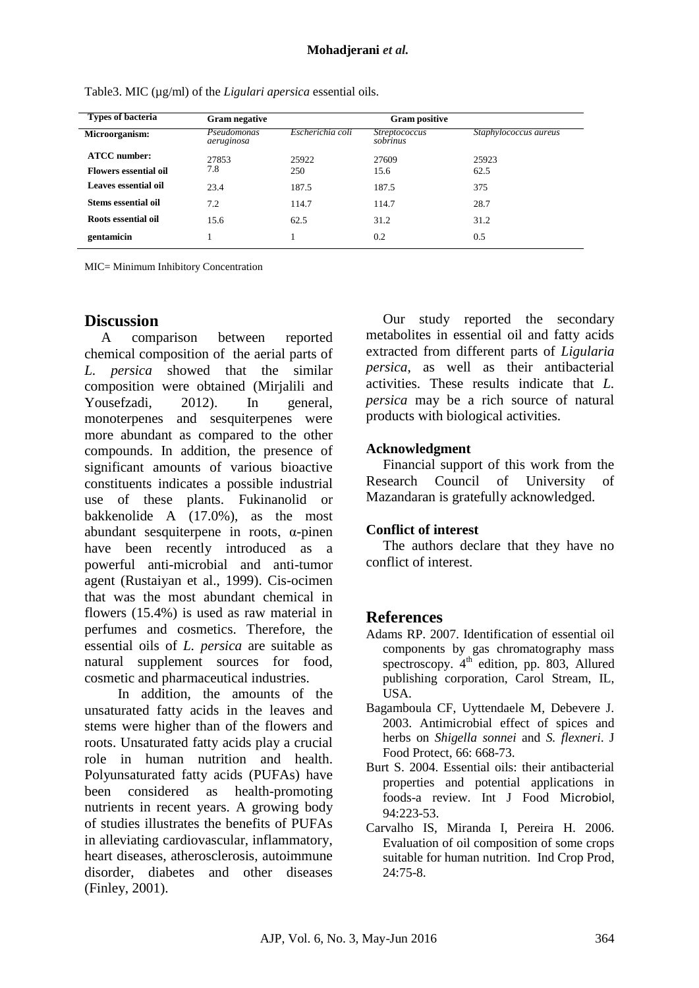| Types of bacteria            | <b>Gram negative</b>      |                  | <b>Gram positive</b>             |                       |  |  |  |
|------------------------------|---------------------------|------------------|----------------------------------|-----------------------|--|--|--|
| Microorganism:               | Pseudomonas<br>aeruginosa | Escherichia coli | <i>Streptococcus</i><br>sobrinus | Staphylococcus aureus |  |  |  |
| <b>ATCC</b> number:          | 27853                     | 25922            | 27609                            | 25923                 |  |  |  |
| <b>Flowers essential oil</b> | 7.8                       | 250              | 15.6                             | 62.5                  |  |  |  |
| Leaves essential oil         | 23.4                      | 187.5            | 187.5                            | 375                   |  |  |  |
| <b>Stems essential oil</b>   | 7.2                       | 114.7            | 114.7                            | 28.7                  |  |  |  |
| Roots essential oil          | 15.6                      | 62.5             | 31.2                             | 31.2                  |  |  |  |
| gentamicin                   |                           |                  | 0.2                              | 0.5                   |  |  |  |

Table3. MIC ( $\mu$ g/ml) of the *Ligulari apersica* essential oils.

MIC= Minimum Inhibitory Concentration

## **Discussion**

A comparison between reported chemical composition of the aerial parts of *L. persica* showed that the similar composition were obtained (Mirjalili and Yousefzadi, 2012). In general, monoterpenes and sesquiterpenes were more abundant as compared to the other compounds. In addition, the presence of significant amounts of various bioactive constituents indicates a possible industrial use of these plants. Fukinanolid or bakkenolide A (17.0%), as the most abundant sesquiterpene in roots, α-pinen have been recently introduced as a powerful anti-microbial and anti-tumor agent (Rustaiyan et al., 1999). Cis-ocimen that was the most abundant chemical in flowers (15.4%) is used as raw material in perfumes and cosmetics. Therefore, the essential oils of *L. persica* are suitable as natural supplement sources for food, cosmetic and pharmaceutical industries.

In addition, the amounts of the unsaturated fatty acids in the leaves and stems were higher than of the flowers and roots. Unsaturated fatty acids play a crucial role in human nutrition and health. Polyunsaturated fatty acids (PUFAs) have been considered as health-promoting nutrients in recent years. A growing body of studies illustrates the benefits of PUFAs in alleviating cardiovascular, inflammatory, heart diseases, atherosclerosis, autoimmune disorder, diabetes and other diseases (Finley, 2001).

Our study reported the secondary metabolites in essential oil and fatty acids extracted from different parts of *Ligularia persica*, as well as their antibacterial activities. These results indicate that *L. persica* may be a rich source of natural products with biological activities.

#### **Acknowledgment**

Financial support of this work from the Research Council of University of Mazandaran is gratefully acknowledged.

#### **Conflict of interest**

The authors declare that they have no conflict of interest.

## **References**

- Adams RP. 2007. Identification of essential oil components by gas chromatography mass spectroscopy. 4<sup>th</sup> edition, pp. 803, Allured publishing corporation, Carol Stream, IL, USA.
- Bagamboula CF, Uyttendaele M, Debevere J. 2003. Antimicrobial effect of spices and herbs on *Shigella sonnei* and *S. flexneri*. J Food Protect, 66: 668-73.
- Burt S. 2004. Essential oils: their antibacterial properties and potential applications in foods-a review. Int J Food Microbiol, 94:223-53.
- Carvalho IS, Miranda I, Pereira H. 2006. Evaluation of oil composition of some crops suitable for human nutrition. Ind Crop Prod, 24:75-8.